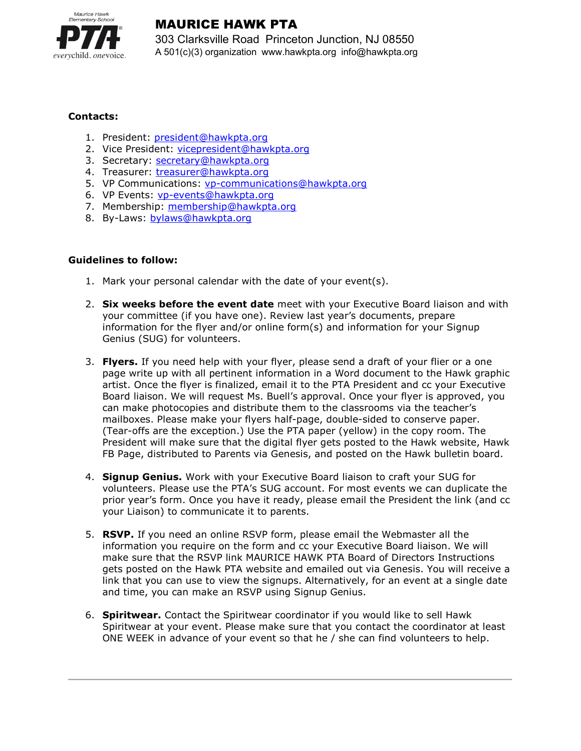

## MAURICE HAWK PTA

303 Clarksville Road Princeton Junction, NJ 08550 A 501(c)(3) organization www.hawkpta.org info@hawkpta.org

## Contacts:

- 1. President: president@hawkpta.org
- 2. Vice President: vicepresident@hawkpta.org
- 3. Secretary: secretary@hawkpta.org
- 4. Treasurer: treasurer@hawkpta.org
- 5. VP Communications: vp-communications@hawkpta.org
- 6. VP Events: vp-events@hawkpta.org
- 7. Membership: membership@hawkpta.org
- 8. By-Laws: bylaws@hawkpta.org

## Guidelines to follow:

- 1. Mark your personal calendar with the date of your event(s).
- 2. Six weeks before the event date meet with your Executive Board liaison and with your committee (if you have one). Review last year's documents, prepare information for the flyer and/or online form(s) and information for your Signup Genius (SUG) for volunteers.
- 3. Flyers. If you need help with your flyer, please send a draft of your flier or a one page write up with all pertinent information in a Word document to the Hawk graphic artist. Once the flyer is finalized, email it to the PTA President and cc your Executive Board liaison. We will request Ms. Buell's approval. Once your flyer is approved, you can make photocopies and distribute them to the classrooms via the teacher's mailboxes. Please make your flyers half-page, double-sided to conserve paper. (Tear-offs are the exception.) Use the PTA paper (yellow) in the copy room. The President will make sure that the digital flyer gets posted to the Hawk website, Hawk FB Page, distributed to Parents via Genesis, and posted on the Hawk bulletin board.
- 4. Signup Genius. Work with your Executive Board liaison to craft your SUG for volunteers. Please use the PTA's SUG account. For most events we can duplicate the prior year's form. Once you have it ready, please email the President the link (and cc your Liaison) to communicate it to parents.
- 5. RSVP. If you need an online RSVP form, please email the Webmaster all the information you require on the form and cc your Executive Board liaison. We will make sure that the RSVP link MAURICE HAWK PTA Board of Directors Instructions gets posted on the Hawk PTA website and emailed out via Genesis. You will receive a link that you can use to view the signups. Alternatively, for an event at a single date and time, you can make an RSVP using Signup Genius.
- 6. Spiritwear. Contact the Spiritwear coordinator if you would like to sell Hawk Spiritwear at your event. Please make sure that you contact the coordinator at least ONE WEEK in advance of your event so that he / she can find volunteers to help.